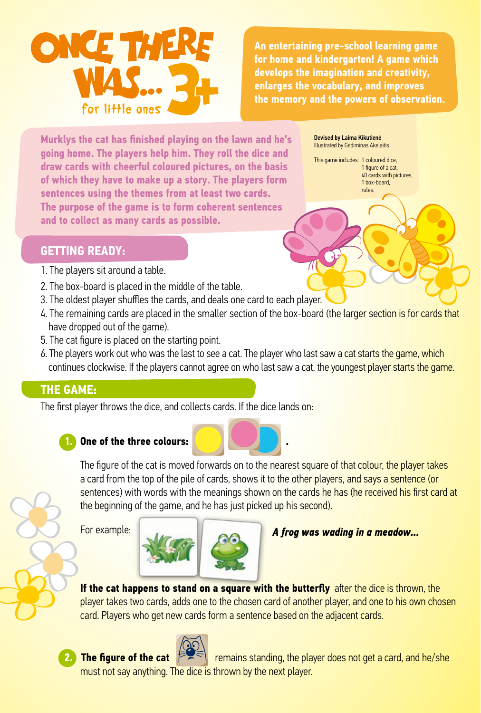

**An entertaining pre-school learning game for home and kindergarten! A game which develops the imagination and creativity, enlarges the vocabulary, and improves the memory and the powers of observation.**

**Murklys the cat has finished playing on the lawn and he's going home. The players help him. They roll the dice and draw cards with cheerful coloured pictures, on the basis of which they have to make up a story. The players form sentences using the themes from at least two cards. The purpose of the game is to form coherent sentences and to collect as many cards as possible.**

Devised by Laima Kikutienė Illustrated by Gediminas Akelaitis

This game includes: 1 coloured dice, 1 figure of a cat, 40 cards with pictures, 1 box-board, rules.

## **GETTING READY:**

- 1. The players sit around a table.
- 2. The box-board is placed in the middle of the table.
- 3. The oldest player shuffles the cards, and deals one card to each player.
- 4. The remaining cards are placed in the smaller section of the box-board (the larger section is for cards that have dropped out of the game).
- 5. The cat figure is placed on the starting point.
- 6. The players work out who was the last to see a cat. The player who last saw a cat starts the game, which continues clockwise. If the players cannot agree on who last saw a cat, the youngest player starts the game.

## **THE GAME:**

The first player throws the dice, and collects cards. If the dice lands on:



## **One of the three colours:**



For example:



*A frog was wading in a meadow...*

**If the cat happens to stand on a square with the butterfly** after the dice is thrown, the player takes two cards, adds one to the chosen card of another player, and one to his own chosen card. Players who get new cards form a sentence based on the adjacent cards.



**The figure of the cat**  $\mathbb{R}$ <sup>- $\leq$ </sup> remains standing, the player does not get a card, and he/she must not say anything. The dice is thrown by the next player.